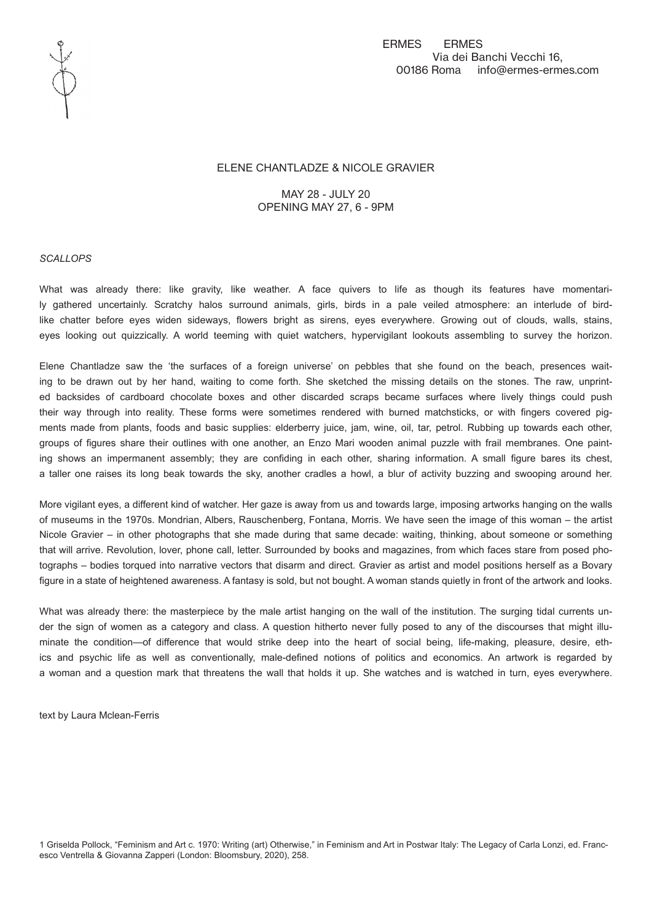

## ELENE CHANTLADZE & NICOLE GRAVIER

MAY 28 - JULY 20 OPENING MAY 27, 6 - 9PM

## *SCALLOPS*

What was already there: like gravity, like weather. A face quivers to life as though its features have momentarily gathered uncertainly. Scratchy halos surround animals, girls, birds in a pale veiled atmosphere: an interlude of birdlike chatter before eyes widen sideways, flowers bright as sirens, eyes everywhere. Growing out of clouds, walls, stains, eyes looking out quizzically. A world teeming with quiet watchers, hypervigilant lookouts assembling to survey the horizon.

Elene Chantladze saw the 'the surfaces of a foreign universe' on pebbles that she found on the beach, presences waiting to be drawn out by her hand, waiting to come forth. She sketched the missing details on the stones. The raw, unprinted backsides of cardboard chocolate boxes and other discarded scraps became surfaces where lively things could push their way through into reality. These forms were sometimes rendered with burned matchsticks, or with fingers covered pigments made from plants, foods and basic supplies: elderberry juice, jam, wine, oil, tar, petrol. Rubbing up towards each other, groups of figures share their outlines with one another, an Enzo Mari wooden animal puzzle with frail membranes. One painting shows an impermanent assembly; they are confiding in each other, sharing information. A small figure bares its chest, a taller one raises its long beak towards the sky, another cradles a howl, a blur of activity buzzing and swooping around her.

More vigilant eyes, a different kind of watcher. Her gaze is away from us and towards large, imposing artworks hanging on the walls of museums in the 1970s. Mondrian, Albers, Rauschenberg, Fontana, Morris. We have seen the image of this woman – the artist Nicole Gravier – in other photographs that she made during that same decade: waiting, thinking, about someone or something that will arrive. Revolution, lover, phone call, letter. Surrounded by books and magazines, from which faces stare from posed photographs – bodies torqued into narrative vectors that disarm and direct. Gravier as artist and model positions herself as a Bovary figure in a state of heightened awareness. A fantasy is sold, but not bought. A woman stands quietly in front of the artwork and looks.

What was already there: the masterpiece by the male artist hanging on the wall of the institution. The surging tidal currents under the sign of women as a category and class. A question hitherto never fully posed to any of the discourses that might illuminate the condition—of difference that would strike deep into the heart of social being, life-making, pleasure, desire, ethics and psychic life as well as conventionally, male-defined notions of politics and economics. An artwork is regarded by a woman and a question mark that threatens the wall that holds it up. She watches and is watched in turn, eyes everywhere.

text by Laura Mclean-Ferris

1 Griselda Pollock, "Feminism and Art c. 1970: Writing (art) Otherwise," in Feminism and Art in Postwar Italy: The Legacy of Carla Lonzi, ed. Francesco Ventrella & Giovanna Zapperi (London: Bloomsbury, 2020), 258.